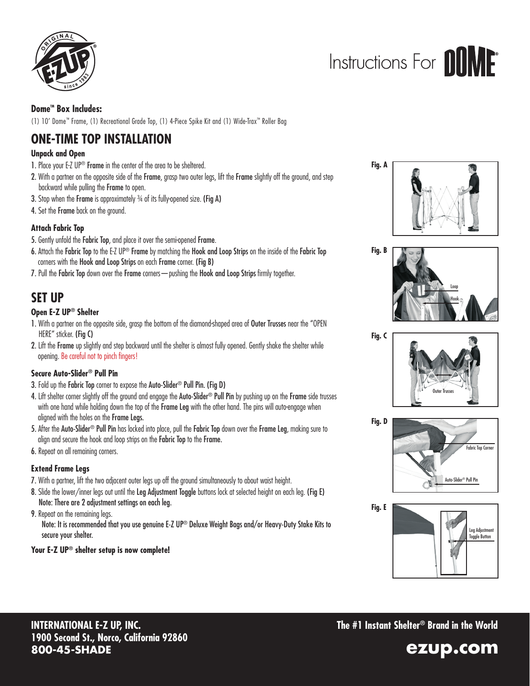

## Instructions For **AllMF**

### **Dome<sup>™</sup> Box Includes:**

(1) 10' Dome™ Frame, (1) Recreational Grade Top, (1) 4-Piece Spike Kit and (1) Wide-Trax™ Roller Bag

## **ONE-TIME TOP INSTALLATION**

### **Unpack and Open**

- 1. Place your E-Z UP<sup>®</sup> Frame in the center of the area to be sheltered.
- 2. With a partner on the opposite side of the Frame, grasp two outer legs, lift the Frame slightly off the ground, and step backward while pulling the Frame to open.
- **3.** Stop when the Frame is approximately 3/4 of its fully-opened size. (Fig A)
- 4. Set the Frame back on the ground.

### **Attach Fabric Top**

- 5. Gently unfold the Fabric Top, and place it over the semi-opened Frame.
- 6. Attach the Fabric Top to the E-Z UP<sup>®</sup> Frame by matching the Hook and Loop Strips on the inside of the Fabric Top corners with the Hook and Loop Strips on each Frame corner. (Fig B)
- 7. Pull the Fabric Top down over the Frame corners pushing the Hook and Loop Strips firmly together.

### **SET UP**

### **Open E-Z UP® Shelter**

- 1. With a partner on the opposite side, grasp the bottom of the diamond-shaped area of Outer Trusses near the "OPEN HERE" sticker. (Fig C)
- 2. Lift the Frame up slightly and step backward until the shelter is almost fully opened. Gently shake the shelter while opening. Be careful not to pinch fingers!

### **Secure Auto-Slider® Pull Pin**

- 3. Fold up the Fabric Top corner to expose the Auto-Slider® Pull Pin. (Fig D)
- 4. Lift shelter corner slightly off the ground and engage the Auto-Slider® Pull Pin by pushing up on the Frame side trusses with one hand while holding down the top of the Frame Leg with the other hand. The pins will auto-engage when aligned with the holes on the Frame Legs.
- 5. After the Auto-Slider® Pull Pin has locked into place, pull the Fabric Top down over the Frame Leg, making sure to align and secure the hook and loop strips on the Fabric Top to the Frame.
- 6. Repeat on all remaining corners.

### **Extend Frame Legs**

- 7. With a partner, lift the two adjacent outer legs up off the ground simultaneously to about waist height.
- 8. Slide the lower/inner legs out until the Leg Adjustment Toggle buttons lock at selected height on each leg. (Fig E) Note: There are 2 adjustment settings on each leg.

9. Repeat on the remaining legs.

Note: It is recommended that you use genuine E-Z UP® Deluxe Weight Bags and/or Heavy-Duty Stake Kits to secure your shelter.

### **Your E-Z UP® shelter setup is now complete!**











**The #1 Instant Shelter® Brand in the World**